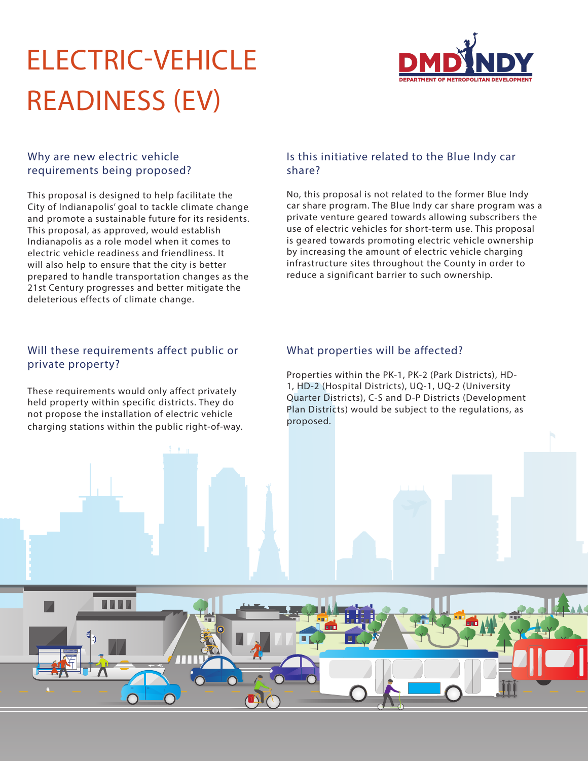# ELECTRIC-VEHICLE READINESS (EV)



#### Why are new electric vehicle requirements being proposed?

This proposal is designed to help facilitate the City of Indianapolis' goal to tackle climate change and promote a sustainable future for its residents. This proposal, as approved, would establish Indianapolis as a role model when it comes to electric vehicle readiness and friendliness. It will also help to ensure that the city is better prepared to handle transportation changes as the 21st Century progresses and better mitigate the deleterious effects of climate change.

#### Will these requirements affect public or private property?

These requirements would only affect privately held property within specific districts. They do not propose the installation of electric vehicle charging stations within the public right-of-way.

#### Is this initiative related to the Blue Indy car share?

No, this proposal is not related to the former Blue Indy car share program. The Blue Indy car share program was a private venture geared towards allowing subscribers the use of electric vehicles for short-term use. This proposal is geared towards promoting electric vehicle ownership by increasing the amount of electric vehicle charging infrastructure sites throughout the County in order to reduce a significant barrier to such ownership.

#### What properties will be affected?

Properties within the PK-1, PK-2 (Park Districts), HD-1, HD-2 (Hospital Districts), UQ-1, UQ-2 (University Quarter Districts), C-S and D-P Districts (Development Plan Districts) would be subject to the regulations, as proposed.

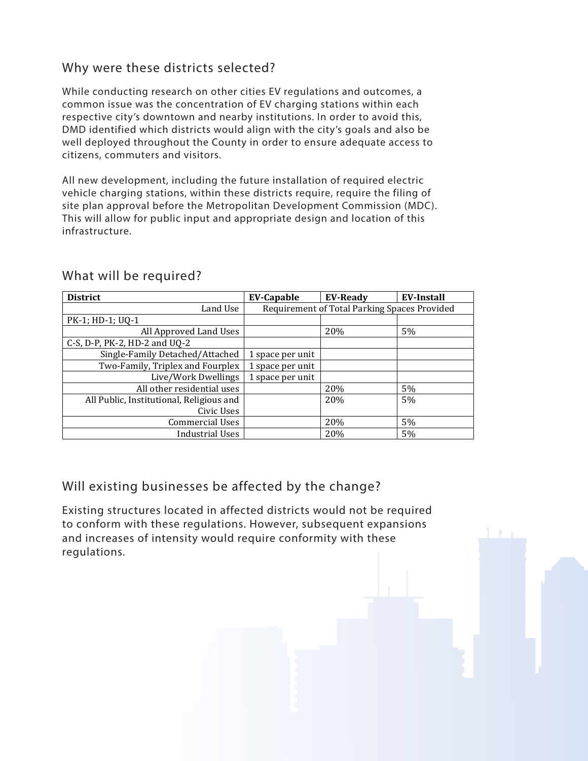# Why were these districts selected?

While conducting research on other cities EV regulations and outcomes, a common issue was the concentration of EV charging stations within each respective city's downtown and nearby institutions. In order to avoid this, DMD identified which districts would align with the city's goals and also be well deployed throughout the County in order to ensure adequate access to citizens, commuters and visitors.

All new development, including the future installation of required electric vehicle charging stations, within these districts require, require the filing of site plan approval before the Metropolitan Development Commission (MDC). This will allow for public input and appropriate design and location of this infrastructure.

| <b>District</b>                          | <b>EV-Capable</b>                            | <b>EV-Ready</b> | <b>EV-Install</b> |
|------------------------------------------|----------------------------------------------|-----------------|-------------------|
| Land Use                                 | Requirement of Total Parking Spaces Provided |                 |                   |
| PK-1; HD-1; UQ-1                         |                                              |                 |                   |
| All Approved Land Uses                   |                                              | 20%             | 5%                |
| C-S, D-P, PK-2, HD-2 and UQ-2            |                                              |                 |                   |
| Single-Family Detached/Attached          | 1 space per unit                             |                 |                   |
| Two-Family, Triplex and Fourplex         | 1 space per unit                             |                 |                   |
| Live/Work Dwellings                      | 1 space per unit                             |                 |                   |
| All other residential uses               |                                              | 20%             | 5%                |
| All Public, Institutional, Religious and |                                              | 20%             | 5%                |
| Civic Uses                               |                                              |                 |                   |
| <b>Commercial Uses</b>                   |                                              | 20%             | 5%                |
| Industrial Uses                          |                                              | 20%             | 5%                |

### What will be required?

## Will existing businesses be affected by the change?

Existing structures located in affected districts would not be required to conform with these regulations. However, subsequent expansions and increases of intensity would require conformity with these regulations.